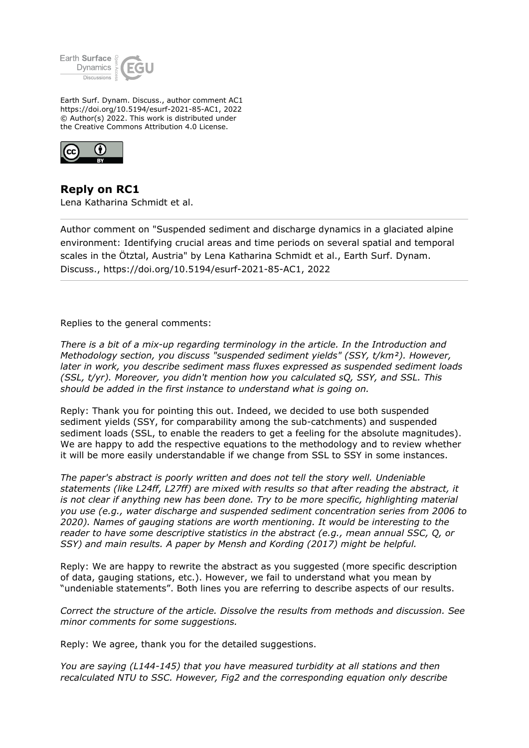

Earth Surf. Dynam. Discuss., author comment AC1 https://doi.org/10.5194/esurf-2021-85-AC1, 2022 © Author(s) 2022. This work is distributed under the Creative Commons Attribution 4.0 License.



**Reply on RC1** Lena Katharina Schmidt et al.

Author comment on "Suspended sediment and discharge dynamics in a glaciated alpine environment: Identifying crucial areas and time periods on several spatial and temporal scales in the Ötztal, Austria" by Lena Katharina Schmidt et al., Earth Surf. Dynam. Discuss., https://doi.org/10.5194/esurf-2021-85-AC1, 2022

Replies to the general comments:

*There is a bit of a mix-up regarding terminology in the article. In the Introduction and Methodology section, you discuss "suspended sediment yields" (SSY, t/km²). However, later in work, you describe sediment mass fluxes expressed as suspended sediment loads (SSL, t/yr). Moreover, you didn't mention how you calculated sQ, SSY, and SSL. This should be added in the first instance to understand what is going on.*

Reply: Thank you for pointing this out. Indeed, we decided to use both suspended sediment yields (SSY, for comparability among the sub-catchments) and suspended sediment loads (SSL, to enable the readers to get a feeling for the absolute magnitudes). We are happy to add the respective equations to the methodology and to review whether it will be more easily understandable if we change from SSL to SSY in some instances.

*The paper's abstract is poorly written and does not tell the story well. Undeniable statements (like L24ff, L27ff) are mixed with results so that after reading the abstract, it is not clear if anything new has been done. Try to be more specific, highlighting material you use (e.g., water discharge and suspended sediment concentration series from 2006 to 2020). Names of gauging stations are worth mentioning. It would be interesting to the reader to have some descriptive statistics in the abstract (e.g., mean annual SSC, Q, or SSY) and main results. A paper by Mensh and Kording (2017) might be helpful.*

Reply: We are happy to rewrite the abstract as you suggested (more specific description of data, gauging stations, etc.). However, we fail to understand what you mean by "undeniable statements". Both lines you are referring to describe aspects of our results.

*Correct the structure of the article. Dissolve the results from methods and discussion. See minor comments for some suggestions.*

Reply: We agree, thank you for the detailed suggestions.

*You are saying (L144-145) that you have measured turbidity at all stations and then recalculated NTU to SSC. However, Fig2 and the corresponding equation only describe*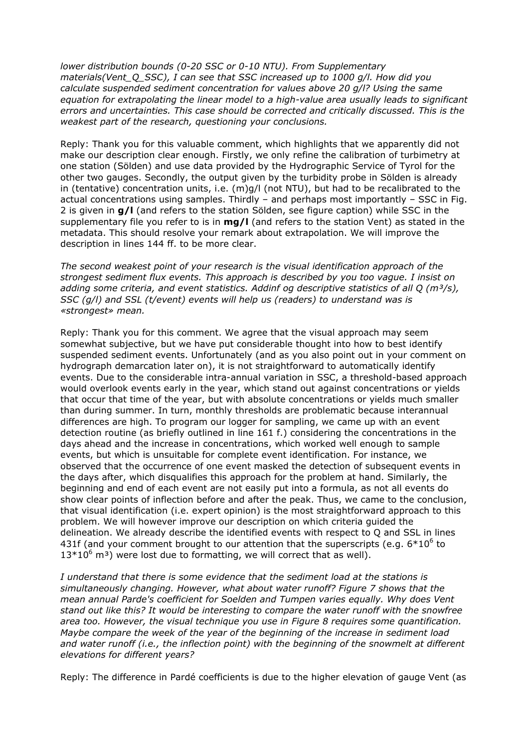*lower distribution bounds (0-20 SSC or 0-10 NTU). From Supplementary materials(Vent\_Q\_SSC), I can see that SSC increased up to 1000 g/l. How did you calculate suspended sediment concentration for values above 20 g/l? Using the same equation for extrapolating the linear model to a high-value area usually leads to significant errors and uncertainties. This case should be corrected and critically discussed. This is the weakest part of the research, questioning your conclusions.*

Reply: Thank you for this valuable comment, which highlights that we apparently did not make our description clear enough. Firstly, we only refine the calibration of turbimetry at one station (Sölden) and use data provided by the Hydrographic Service of Tyrol for the other two gauges. Secondly, the output given by the turbidity probe in Sölden is already in (tentative) concentration units, i.e. (m)g/l (not NTU), but had to be recalibrated to the actual concentrations using samples. Thirdly – and perhaps most importantly – SSC in Fig. 2 is given in **g/l** (and refers to the station Sölden, see figure caption) while SSC in the supplementary file you refer to is in **mg/l** (and refers to the station Vent) as stated in the metadata. This should resolve your remark about extrapolation. We will improve the description in lines 144 ff. to be more clear.

*The second weakest point of your research is the visual identification approach of the strongest sediment flux events. This approach is described by you too vague. I insist on adding some criteria, and event statistics. Addinf og descriptive statistics of all Q (m³/s), SSC (g/l) and SSL (t/event) events will help us (readers) to understand was is «strongest» mean.*

Reply: Thank you for this comment. We agree that the visual approach may seem somewhat subjective, but we have put considerable thought into how to best identify suspended sediment events. Unfortunately (and as you also point out in your comment on hydrograph demarcation later on), it is not straightforward to automatically identify events. Due to the considerable intra-annual variation in SSC, a threshold-based approach would overlook events early in the year, which stand out against concentrations or yields that occur that time of the year, but with absolute concentrations or yields much smaller than during summer. In turn, monthly thresholds are problematic because interannual differences are high. To program our logger for sampling, we came up with an event detection routine (as briefly outlined in line 161 f.) considering the concentrations in the days ahead and the increase in concentrations, which worked well enough to sample events, but which is unsuitable for complete event identification. For instance, we observed that the occurrence of one event masked the detection of subsequent events in the days after, which disqualifies this approach for the problem at hand. Similarly, the beginning and end of each event are not easily put into a formula, as not all events do show clear points of inflection before and after the peak. Thus, we came to the conclusion, that visual identification (i.e. expert opinion) is the most straightforward approach to this problem. We will however improve our description on which criteria guided the delineation. We already describe the identified events with respect to Q and SSL in lines 431f (and your comment brought to our attention that the superscripts (e.g.  $6*10^6$  to  $13*10^6$  m<sup>3</sup>) were lost due to formatting, we will correct that as well).

*I understand that there is some evidence that the sediment load at the stations is simultaneously changing. However, what about water runoff? Figure 7 shows that the mean annual Parde's coefficient for Soelden and Tumpen varies equally. Why does Vent stand out like this? It would be interesting to compare the water runoff with the snowfree area too. However, the visual technique you use in Figure 8 requires some quantification. Maybe compare the week of the year of the beginning of the increase in sediment load and water runoff (i.e., the inflection point) with the beginning of the snowmelt at different elevations for different years?*

Reply: The difference in Pardé coefficients is due to the higher elevation of gauge Vent (as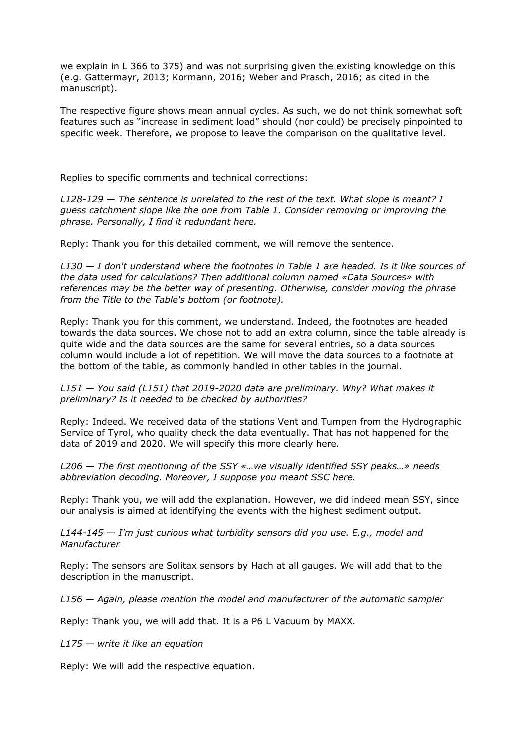we explain in L 366 to 375) and was not surprising given the existing knowledge on this (e.g. Gattermayr, 2013; Kormann, 2016; Weber and Prasch, 2016; as cited in the manuscript).

The respective figure shows mean annual cycles. As such, we do not think somewhat soft features such as "increase in sediment load" should (nor could) be precisely pinpointed to specific week. Therefore, we propose to leave the comparison on the qualitative level.

Replies to specific comments and technical corrections:

*L128-129 — The sentence is unrelated to the rest of the text. What slope is meant? I guess catchment slope like the one from Table 1. Consider removing or improving the phrase. Personally, I find it redundant here.*

Reply: Thank you for this detailed comment, we will remove the sentence.

*L130 — I don't understand where the footnotes in Table 1 are headed. Is it like sources of the data used for calculations? Then additional column named «Data Sources» with references may be the better way of presenting. Otherwise, consider moving the phrase from the Title to the Table's bottom (or footnote).*

Reply: Thank you for this comment, we understand. Indeed, the footnotes are headed towards the data sources. We chose not to add an extra column, since the table already is quite wide and the data sources are the same for several entries, so a data sources column would include a lot of repetition. We will move the data sources to a footnote at the bottom of the table, as commonly handled in other tables in the journal.

*L151 — You said (L151) that 2019-2020 data are preliminary. Why? What makes it preliminary? Is it needed to be checked by authorities?*

Reply: Indeed. We received data of the stations Vent and Tumpen from the Hydrographic Service of Tyrol, who quality check the data eventually. That has not happened for the data of 2019 and 2020. We will specify this more clearly here.

*L206 — The first mentioning of the SSY «…we visually identified SSY peaks…» needs abbreviation decoding. Moreover, I suppose you meant SSC here.*

Reply: Thank you, we will add the explanation. However, we did indeed mean SSY, since our analysis is aimed at identifying the events with the highest sediment output.

*L144-145 — I'm just curious what turbidity sensors did you use. E.g., model and Manufacturer*

Reply: The sensors are Solitax sensors by Hach at all gauges. We will add that to the description in the manuscript.

*L156 — Again, please mention the model and manufacturer of the automatic sampler*

Reply: Thank you, we will add that. It is a P6 L Vacuum by MAXX.

*L175 — write it like an equation*

Reply: We will add the respective equation.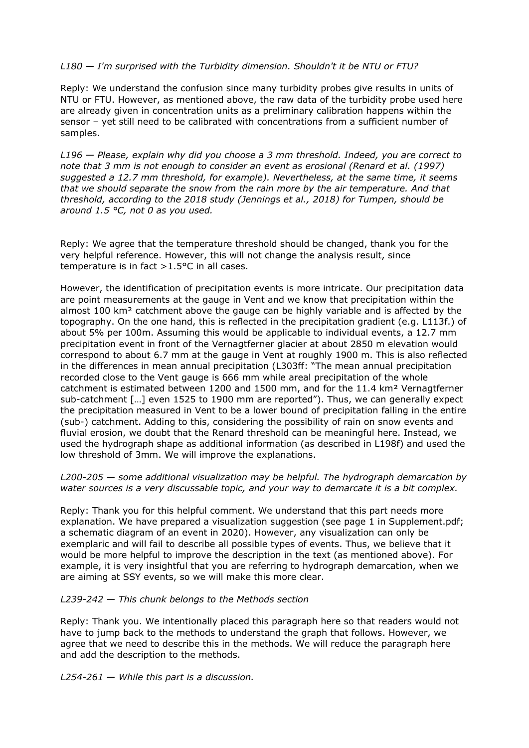## *L180 — I'm surprised with the Turbidity dimension. Shouldn't it be NTU or FTU?*

Reply: We understand the confusion since many turbidity probes give results in units of NTU or FTU. However, as mentioned above, the raw data of the turbidity probe used here are already given in concentration units as a preliminary calibration happens within the sensor – yet still need to be calibrated with concentrations from a sufficient number of samples.

*L196 — Please, explain why did you choose a 3 mm threshold. Indeed, you are correct to note that 3 mm is not enough to consider an event as erosional (Renard et al. (1997) suggested a 12.7 mm threshold, for example). Nevertheless, at the same time, it seems that we should separate the snow from the rain more by the air temperature. And that threshold, according to the 2018 study (Jennings et al., 2018) for Tumpen, should be around 1.5 °C, not 0 as you used.*

Reply: We agree that the temperature threshold should be changed, thank you for the very helpful reference. However, this will not change the analysis result, since temperature is in fact >1.5°C in all cases.

However, the identification of precipitation events is more intricate. Our precipitation data are point measurements at the gauge in Vent and we know that precipitation within the almost 100 km² catchment above the gauge can be highly variable and is affected by the topography. On the one hand, this is reflected in the precipitation gradient (e.g. L113f.) of about 5% per 100m. Assuming this would be applicable to individual events, a 12.7 mm precipitation event in front of the Vernagtferner glacier at about 2850 m elevation would correspond to about 6.7 mm at the gauge in Vent at roughly 1900 m. This is also reflected in the differences in mean annual precipitation (L303ff: "The mean annual precipitation recorded close to the Vent gauge is 666 mm while areal precipitation of the whole catchment is estimated between 1200 and 1500 mm, and for the 11.4 km² Vernagtferner sub-catchment […] even 1525 to 1900 mm are reported"). Thus, we can generally expect the precipitation measured in Vent to be a lower bound of precipitation falling in the entire (sub-) catchment. Adding to this, considering the possibility of rain on snow events and fluvial erosion, we doubt that the Renard threshold can be meaningful here. Instead, we used the hydrograph shape as additional information (as described in L198f) and used the low threshold of 3mm. We will improve the explanations.

*L200-205 — some additional visualization may be helpful. The hydrograph demarcation by water sources is a very discussable topic, and your way to demarcate it is a bit complex.*

Reply: Thank you for this helpful comment. We understand that this part needs more explanation. We have prepared a visualization suggestion (see page 1 in Supplement.pdf; a schematic diagram of an event in 2020). However, any visualization can only be exemplaric and will fail to describe all possible types of events. Thus, we believe that it would be more helpful to improve the description in the text (as mentioned above). For example, it is very insightful that you are referring to hydrograph demarcation, when we are aiming at SSY events, so we will make this more clear.

*L239-242 — This chunk belongs to the Methods section*

Reply: Thank you. We intentionally placed this paragraph here so that readers would not have to jump back to the methods to understand the graph that follows. However, we agree that we need to describe this in the methods. We will reduce the paragraph here and add the description to the methods.

*L254-261 — While this part is a discussion.*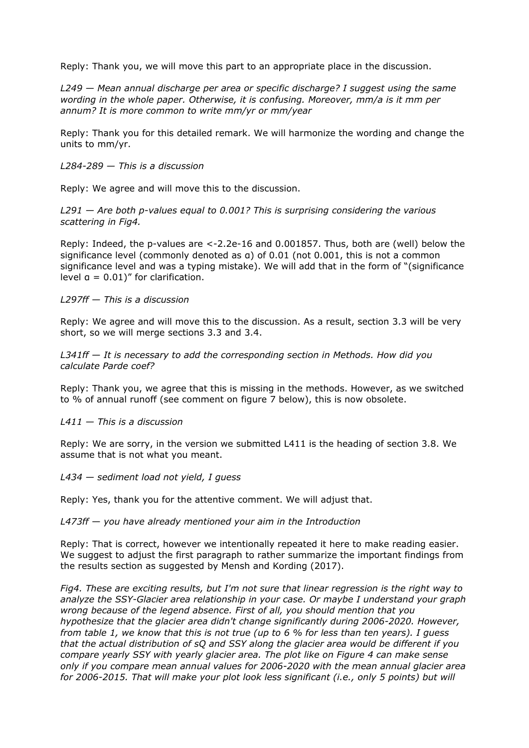Reply: Thank you, we will move this part to an appropriate place in the discussion.

*L249 — Mean annual discharge per area or specific discharge? I suggest using the same wording in the whole paper. Otherwise, it is confusing. Moreover, mm/a is it mm per annum? It is more common to write mm/yr or mm/year*

Reply: Thank you for this detailed remark. We will harmonize the wording and change the units to mm/yr.

*L284-289 — This is a discussion*

Reply: We agree and will move this to the discussion.

*L291 — Are both p-values equal to 0.001? This is surprising considering the various scattering in Fig4.*

Reply: Indeed, the p-values are <-2.2e-16 and 0.001857. Thus, both are (well) below the significance level (commonly denoted as α) of 0.01 (not 0.001, this is not a common significance level and was a typing mistake). We will add that in the form of "(significance level  $a = 0.01$ " for clarification.

## *L297ff — This is a discussion*

Reply: We agree and will move this to the discussion. As a result, section 3.3 will be very short, so we will merge sections 3.3 and 3.4.

*L341ff — It is necessary to add the corresponding section in Methods. How did you calculate Parde coef?*

Reply: Thank you, we agree that this is missing in the methods. However, as we switched to % of annual runoff (see comment on figure 7 below), this is now obsolete.

*L411 — This is a discussion*

Reply: We are sorry, in the version we submitted L411 is the heading of section 3.8. We assume that is not what you meant.

*L434 — sediment load not yield, I guess*

Reply: Yes, thank you for the attentive comment. We will adjust that.

*L473ff — you have already mentioned your aim in the Introduction*

Reply: That is correct, however we intentionally repeated it here to make reading easier. We suggest to adjust the first paragraph to rather summarize the important findings from the results section as suggested by Mensh and Kording (2017).

*Fig4. These are exciting results, but I'm not sure that linear regression is the right way to analyze the SSY-Glacier area relationship in your case. Or maybe I understand your graph wrong because of the legend absence. First of all, you should mention that you hypothesize that the glacier area didn't change significantly during 2006-2020. However, from table 1, we know that this is not true (up to 6 % for less than ten years). I guess that the actual distribution of sQ and SSY along the glacier area would be different if you compare yearly SSY with yearly glacier area. The plot like on Figure 4 can make sense only if you compare mean annual values for 2006-2020 with the mean annual glacier area for 2006-2015. That will make your plot look less significant (i.e., only 5 points) but will*